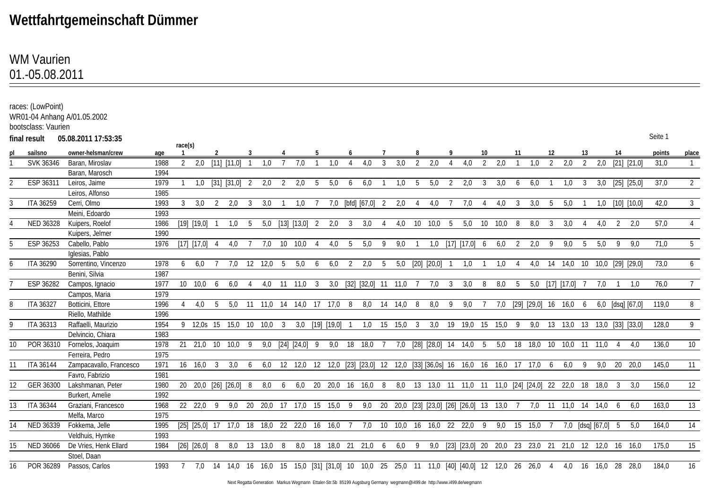## **Wettfahrtgemeinschaft Dümmer**

## 01.-05.08.2011 WM Vaurien

|                  | races: (LowPoint)<br>bootsclass: Vaurien | WR01-04 Anhang A/01.05.2002 |      |         |                         |                |                                                                                                                     |    |               |     |                   |    |                   |                |                       |     |                         |                |                 |     |                                                                                |     |      |     |                             |    |                   |     |                       |    |                                 |         |                 |
|------------------|------------------------------------------|-----------------------------|------|---------|-------------------------|----------------|---------------------------------------------------------------------------------------------------------------------|----|---------------|-----|-------------------|----|-------------------|----------------|-----------------------|-----|-------------------------|----------------|-----------------|-----|--------------------------------------------------------------------------------|-----|------|-----|-----------------------------|----|-------------------|-----|-----------------------|----|---------------------------------|---------|-----------------|
|                  | final result                             | 05.08.2011 17:53:35         |      |         |                         |                |                                                                                                                     |    |               |     |                   |    |                   |                |                       |     |                         |                |                 |     |                                                                                |     |      |     |                             |    |                   |     |                       |    |                                 | Seite 1 |                 |
|                  |                                          |                             |      | race(s) |                         |                |                                                                                                                     |    |               |     |                   |    |                   |                |                       |     |                         |                |                 |     |                                                                                |     |      |     |                             |    |                   |     |                       |    |                                 |         |                 |
| p                | sailsno                                  | owner-helsman/crew          | age  |         |                         |                |                                                                                                                     |    |               |     |                   |    |                   |                |                       |     |                         |                |                 |     |                                                                                |     |      | -11 |                             |    |                   | 13  |                       | 14 |                                 | points  | place           |
|                  | SVK 36346                                | Baran, Miroslav             | 1988 | 2       | 2,0                     |                | [11] [11,0]                                                                                                         |    | 1.0           |     | 7.0               |    | 1.0               |                | 4.0                   | 3   | 3,0                     | $\mathfrak{D}$ | 2,0             |     | 4.0                                                                            | 2   | 2.0  |     | 1.0                         | 2  | 2,0               | 2   | 2,0                   |    | [21] [21,0]                     | 31,0    | $\mathbf{1}$    |
|                  |                                          | Baran, Marosch              | 1994 |         |                         |                |                                                                                                                     |    |               |     |                   |    |                   |                |                       |     |                         |                |                 |     |                                                                                |     |      |     |                             |    |                   |     |                       |    |                                 |         |                 |
|                  | ESP 36311                                | Leiros, Jaime               | 1979 |         |                         |                | 1,0 [31] [31,0]                                                                                                     | -2 | 2,0           |     | 2,0               | -5 | 5,0               | 6              | 6,0                   |     | 1.0                     | -5             | 5,0             |     | 2,0                                                                            | -3  | 3,0  | 6   | 6,0                         |    | 1.0               | -3  | 3,0                   |    | [25] [25,0]                     | 37,0    | $\overline{2}$  |
|                  |                                          | Leiros, Alfonso             | 1985 |         |                         |                |                                                                                                                     |    |               |     |                   |    |                   |                |                       |     |                         |                |                 |     |                                                                                |     |      |     |                             |    |                   |     |                       |    |                                 |         |                 |
|                  | <b>ITA 36259</b>                         | Cerri, Olmo                 | 1993 |         | 3.0                     | $\overline{2}$ | 2,0                                                                                                                 | 3  | 3,0           |     | 1,0               |    |                   |                | 7,0 [bfd] [67,0] 2    |     | 2,0                     | 4              | 4,0             |     | 7,0                                                                            |     | 4,0  | 3   | 3,0                         | -5 | 5,0               |     | 1,0                   |    | $[10]$ $[10,0]$                 | 42,0    | 3 <sup>1</sup>  |
|                  |                                          | Meini, Edoardo              | 1993 |         |                         |                |                                                                                                                     |    |               |     |                   |    |                   |                |                       |     |                         |                |                 |     |                                                                                |     |      |     |                             |    |                   |     |                       |    |                                 |         |                 |
|                  | NED 36328                                | Kuipers, Roelof             | 1986 |         | [19] [19,0]             |                | 1,0                                                                                                                 | -5 |               |     | 5,0 [13] [13,0] 2 |    | 2,0               | 3              | 3,0                   |     | 4,0                     | 10             | 10,0            | - 5 | 5,0                                                                            | 10  | 10,0 | 8   | 8,0                         | 3  | 3,0               |     | 4,0                   | 2  | 2,0                             | 57,0    | $\overline{4}$  |
|                  |                                          | Kuipers, Jelmer             | 1990 |         |                         |                |                                                                                                                     |    |               |     |                   |    |                   |                |                       |     |                         |                |                 |     |                                                                                |     |      |     |                             |    |                   |     |                       |    |                                 |         |                 |
|                  | ESP 36253                                | Cabello, Pablo              | 1976 |         | $[17]$ $[17,0]$ 4       |                | 4,0                                                                                                                 |    | 7,0           | 10  | 10,0              |    | 4,0               | -5             | 5,0                   | -9  | 9,0                     |                |                 |     | 1,0 [17] [17,0] 6                                                              |     | 6,0  | 2   | 2,0                         | 9  | 9,0               | -5  | 5,0                   | 9  | 9.0                             | 71,0    | $5\overline{)}$ |
|                  |                                          | Iglesias, Pablo             |      |         |                         |                |                                                                                                                     |    |               |     |                   |    |                   |                |                       |     |                         |                |                 |     |                                                                                |     |      |     |                             |    |                   |     |                       |    |                                 |         |                 |
| 6                | <b>ITA 36290</b>                         | Sorrentino, Vincenzo        | 1978 | 6       | 6.0                     |                | 7,0                                                                                                                 |    | 12 12,0       | - 5 | 5,0               | 6  | 6,0               | $\overline{2}$ | 2,0                   | - 5 |                         |                | 5,0 [20] [20,0] |     | 1,0                                                                            |     | 1,0  |     |                             |    | 4,0 14 14,0 10    |     |                       |    | 10,0 [29] [29,0]                | 73,0    | 6               |
|                  |                                          | Benini, Silvia              | 1987 |         |                         |                |                                                                                                                     |    |               |     |                   |    |                   |                |                       |     |                         |                |                 |     |                                                                                |     |      |     |                             |    |                   |     |                       |    |                                 |         |                 |
|                  | ESP 36282                                | Campos, Ignacio             | 1977 |         | 10 10.0 6               |                | 6,0                                                                                                                 |    |               |     | 4,0 11 11,0 3     |    |                   |                |                       |     | 3,0 [32] [32,0] 11 11,0 |                | 7,0             | 3   | 3,0                                                                            | - 8 | 8.0  | -5  |                             |    | 5,0 [17] [17,0] 7 |     | 7,0                   |    | 1.0                             | 76.0    | 7 <sup>7</sup>  |
|                  |                                          | Campos, Maria               | 1979 |         |                         |                |                                                                                                                     |    |               |     |                   |    |                   |                |                       |     |                         |                |                 |     |                                                                                |     |      |     |                             |    |                   |     |                       |    |                                 |         |                 |
| 8                | <b>ITA 36327</b>                         | Botticini, Ettore           | 1996 |         | 4.0                     | 5              | 5,0 11 11,0 14 14,0 17 17,0 8                                                                                       |    |               |     |                   |    |                   |                |                       |     | 8,0 14 14,0 8           |                | 8,0             | - 9 | 9,0                                                                            |     | 7,0  |     | $[29]$ $[29,0]$ 16 16,0 6   |    |                   |     |                       |    | $6,0$ [dsq] [67,0]              | 119.0   | 8               |
|                  |                                          | Riello, Mathilde            | 1996 |         |                         |                |                                                                                                                     |    |               |     |                   |    |                   |                |                       |     |                         |                |                 |     |                                                                                |     |      |     |                             |    |                   |     |                       |    |                                 |         |                 |
| Q                | <b>ITA 36313</b>                         | Raffaelli, Maurizio         | 1954 |         |                         |                | 9 12,0s 15 15,0 10 10,0 3                                                                                           |    |               |     |                   |    | 3,0 [19] [19,0] 1 |                |                       |     | 1,0 15 15,0 3           |                | 3,0             |     | 19 19,0 15 15,0 9                                                              |     |      |     |                             |    |                   |     |                       |    | 9,0 13 13,0 13 13,0 [33] [33,0] | 128,0   | 9               |
|                  |                                          | Delvincio, Chiara           | 1983 |         |                         |                |                                                                                                                     |    |               |     |                   |    |                   |                |                       |     |                         |                |                 |     |                                                                                |     |      |     |                             |    |                   |     |                       |    |                                 |         |                 |
| 10 <sup>10</sup> | POR 36310                                | Fornelos, Joaquim           | 1978 |         |                         |                | 21 21,0 10 10,0 9                                                                                                   |    |               |     | 9,0 [24] [24,0] 9 |    |                   |                | 9,0 18 18,0 7         |     |                         |                |                 |     | 7,0 [28] [28,0] 14 14,0 5                                                      |     |      |     | 5,0 18 18,0 10 10,0 11 11,0 |    |                   |     |                       |    | 4.0                             | 136,0   | 10              |
|                  |                                          | Ferreira, Pedro             | 1975 |         |                         |                |                                                                                                                     |    |               |     |                   |    |                   |                |                       |     |                         |                |                 |     |                                                                                |     |      |     |                             |    |                   |     |                       |    |                                 |         |                 |
| 11               | <b>ITA 36144</b>                         | Zampacavallo, Francesco     | 1971 |         | $16 \quad 16.0 \quad 3$ |                | 3,0                                                                                                                 | 6  |               |     |                   |    |                   |                |                       |     |                         |                |                 |     | 6,0 12 12,0 12 12,0 [23] [23,0] 12 12,0 [33] [36,0s] 16 16,0 16 16,0 17 17,0 6 |     |      |     |                             |    | 6,0               | - 9 |                       |    | 9,0 20 20,0                     | 145,0   | 11              |
|                  |                                          | Favro, Fabrizio             | 1981 |         |                         |                |                                                                                                                     |    |               |     |                   |    |                   |                |                       |     |                         |                |                 |     |                                                                                |     |      |     |                             |    |                   |     |                       |    |                                 |         |                 |
| 12 <sup>°</sup>  | GER 36300                                | Lakshmanan, Peter           | 1980 |         |                         |                | 20 20,0 [26] [26,0] 8                                                                                               |    | 8,0           | 6   |                   |    |                   |                | 6,0 20 20,0 16 16,0 8 |     |                         |                |                 |     | 8,0 13 13,0 11 11,0 11 11,0 [24] [24,0] 22 22,0 18 18,0 3                      |     |      |     |                             |    |                   |     |                       |    | 3.0                             | 156,0   | 12              |
|                  |                                          | Burkert, Amelie             | 1992 |         |                         |                |                                                                                                                     |    |               |     |                   |    |                   |                |                       |     |                         |                |                 |     |                                                                                |     |      |     |                             |    |                   |     |                       |    |                                 |         |                 |
| 13               | <b>ITA 36344</b>                         | Graziani, Francesco         | 1968 |         |                         |                | 22 22,0 9 9,0 20 20,0 17 17,0 15 15,0 9 9,0 20 20,0 [23] [23,0] [26] [26,0] 13 13,0 7                               |    |               |     |                   |    |                   |                |                       |     |                         |                |                 |     |                                                                                |     |      |     |                             |    |                   |     | 7,0 11 11,0 14 14,0 6 |    | 6.0                             | 163,0   | 13              |
|                  |                                          | Melfa, Marco                | 1975 |         |                         |                |                                                                                                                     |    |               |     |                   |    |                   |                |                       |     |                         |                |                 |     |                                                                                |     |      |     |                             |    |                   |     |                       |    |                                 |         |                 |
| 14               | NED 36339                                | Fokkema, Jelle              | 1995 |         |                         |                | [25] [25,0] 17 17,0 18 18,0 22 22,0 16 16,0 7 7,0 10 10,0 16 16,0 22 22,0 9                                         |    |               |     |                   |    |                   |                |                       |     |                         |                |                 |     |                                                                                |     |      |     | 9,0 15 15,0 7               |    |                   |     | 7,0 [dsq] [67,0] 5    |    | 5.0                             | 164,0   | 14              |
|                  |                                          | Veldhuis, Hymke             | 1993 |         |                         |                |                                                                                                                     |    |               |     |                   |    |                   |                |                       |     |                         |                |                 |     |                                                                                |     |      |     |                             |    |                   |     |                       |    |                                 |         |                 |
| 15               | NED 36066                                | De Vries, Henk Ellard       | 1984 |         | [26] [26, 0] 8          |                |                                                                                                                     |    | 8,0 13 13,0 8 |     |                   |    |                   |                | 8,0 18 18,0 21 21,0 6 |     | 6,0 9                   |                |                 |     | 9,0 [23] [23,0] 20 20,0 23 23,0 21 21,0 12 12,0 16 16,0                        |     |      |     |                             |    |                   |     |                       |    |                                 | 175,0   | 15              |
|                  |                                          | Stoel, Daan                 |      |         |                         |                |                                                                                                                     |    |               |     |                   |    |                   |                |                       |     |                         |                |                 |     |                                                                                |     |      |     |                             |    |                   |     |                       |    |                                 |         |                 |
| 16               |                                          | POR 36289 Passos, Carlos    | 1993 |         |                         |                | 7 7,0 14 14,0 16 16,0 15 15,0 [31] [31,0] 10 10,0 25 25,0 11 11,0 [40] [40,0] 12 12,0 26 26,0 4 4,0 16 16,0 28 28,0 |    |               |     |                   |    |                   |                |                       |     |                         |                |                 |     |                                                                                |     |      |     |                             |    |                   |     |                       |    |                                 | 184,0   | 16              |
|                  |                                          |                             |      |         |                         |                |                                                                                                                     |    |               |     |                   |    |                   |                |                       |     |                         |                |                 |     |                                                                                |     |      |     |                             |    |                   |     |                       |    |                                 |         |                 |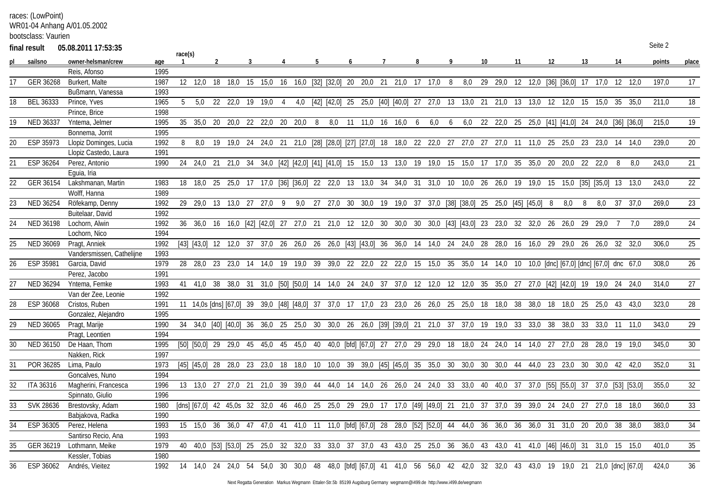races: (LowPoint)

WR01-04 Anhang A/01.05.2002

bootsclass: Vaurien

|    | final result     | 05.08.2011 17:53:35       |      |         |                                                                                                                            |    |                     |            |                |     |   |                |                                          |      |   |                 |   |                                                                              |    |                                                     |     |         |    |                                      |     |                   |             |      | Seite 2 |              |
|----|------------------|---------------------------|------|---------|----------------------------------------------------------------------------------------------------------------------------|----|---------------------|------------|----------------|-----|---|----------------|------------------------------------------|------|---|-----------------|---|------------------------------------------------------------------------------|----|-----------------------------------------------------|-----|---------|----|--------------------------------------|-----|-------------------|-------------|------|---------|--------------|
|    | sailsno          | owner-helsman/crew        | age  | race(s) |                                                                                                                            |    |                     |            |                |     |   |                |                                          |      |   |                 |   |                                                                              | 10 |                                                     | -11 |         | 12 |                                      |     |                   |             |      | points  | <u>place</u> |
|    |                  | Reis, Afonso              | 1995 |         |                                                                                                                            |    |                     |            |                |     |   |                |                                          |      |   |                 |   |                                                                              |    |                                                     |     |         |    |                                      |     |                   |             |      |         |              |
| 17 | GER 36268        | Burkert, Malte            | 1987 |         | 12 12,0                                                                                                                    | 18 | 18,0                | 15 15,0 16 |                |     |   |                | 16,0 [32] [32,0] 20 20,0 21 21,0 17 17,0 |      |   |                 | 8 | 8,0                                                                          |    | 29 29,0                                             |     |         |    | 12 12,0 [36] [36,0] 17 17,0          |     |                   | 12          | 12.0 | 197.0   | 17           |
|    |                  | Bußmann, Vanessa          | 1993 |         |                                                                                                                            |    |                     |            |                |     |   |                |                                          |      |   |                 |   |                                                                              |    |                                                     |     |         |    |                                      |     |                   |             |      |         |              |
| 18 | <b>BEL 36333</b> | Prince, Yves              | 1965 | 5       |                                                                                                                            |    | 5,0 22 22,0 19 19,0 |            | $\overline{4}$ | 4,0 |   | [42] [42,0] 25 |                                          |      |   |                 |   | 25,0 [40] [40,0] 27 27,0 13 13,0 21 21,0                                     |    |                                                     |     | 13 13,0 |    | 12 12,0                              | 15  | 15.0              | 35          | 35.0 | 211,0   | 18           |
|    |                  | Prince, Brice             | 1998 |         |                                                                                                                            |    |                     |            |                |     |   |                |                                          |      |   |                 |   |                                                                              |    |                                                     |     |         |    |                                      |     |                   |             |      |         |              |
| 19 | NED 36337        | Yntema, Jelmer            | 1995 |         | 35 35.0 20 20.0 22 22.0 20 20.0                                                                                            |    |                     |            |                |     | 8 |                | 8,0 11 11,0 16                           | 16,0 | 6 | 6,0             | 6 |                                                                              |    | 6,0 22 22,0 25 25,0 [41] [41,0] 24 24,0 [36] [36,0] |     |         |    |                                      |     |                   |             |      | 215.0   | 19           |
|    |                  | Bonnema, Jorrit           | 1995 |         |                                                                                                                            |    |                     |            |                |     |   |                |                                          |      |   |                 |   |                                                                              |    |                                                     |     |         |    |                                      |     |                   |             |      |         |              |
| 20 | ESP 35973        | Llopiz Dominges, Lucia    | 1992 | 8       | 8.0                                                                                                                        | 19 |                     |            |                |     |   |                |                                          |      |   |                 |   | 19,0 24 24,0 21 21,0 [28] [28,0] [27] [27,0] 18 18,0 22 22,0 27 27,0 27 27,0 |    |                                                     |     |         |    | 11 11,0 25 25,0 23 23,0              |     |                   | - 14        | 14.0 | 239.0   | 20           |
|    |                  | Llopiz Castedo, Laura     | 1991 |         |                                                                                                                            |    |                     |            |                |     |   |                |                                          |      |   |                 |   |                                                                              |    |                                                     |     |         |    |                                      |     |                   |             |      |         |              |
| 21 | ESP 36264        | Perez, Antonio            | 1990 |         | 24 24,0 21 21,0 34 34,0 [42] [42,0] [41] [41,0] 15 15,0 13 13,0 19 19,0 15 15,0 17 17,0 35                                 |    |                     |            |                |     |   |                |                                          |      |   |                 |   |                                                                              |    |                                                     |     |         |    | 35,0 20 20,0 22 22,0                 |     |                   | -8          | 8.0  | 243,0   | 21           |
|    |                  | Eguia, Iria               |      |         |                                                                                                                            |    |                     |            |                |     |   |                |                                          |      |   |                 |   |                                                                              |    |                                                     |     |         |    |                                      |     |                   |             |      |         |              |
| 22 | GER 36154        | Lakshmanan, Martin        | 1983 |         | 18 18.0 25 25.0 17 17.0 [36] [36.0] 22 22.0 13 13.0 34                                                                     |    |                     |            |                |     |   |                |                                          |      |   |                 |   | 34,0 31 31,0 10 10,0 26 26,0                                                 |    |                                                     |     | 19 19,0 | 15 | 15,0 [35] [35,0] 13                  |     |                   |             | 13.0 | 243.0   | 22           |
|    |                  | Wolff, Hanna              | 1989 |         |                                                                                                                            |    |                     |            |                |     |   |                |                                          |      |   |                 |   |                                                                              |    |                                                     |     |         |    |                                      |     |                   |             |      |         |              |
| 23 | NED 36254        | Röfekamp, Denny           | 1992 |         | 29 29,0 13 13,0 27 27,0 9                                                                                                  |    |                     |            |                |     |   |                |                                          |      |   |                 |   | 9,0 27 27,0 30 30,0 19 19,0 37 37,0 [38] [38,0] 25 25,0 [45] [45,0] 8        |    |                                                     |     |         |    | 8,0                                  | - 8 |                   | 8.0 37 37.0 |      | 269,0   | 23           |
|    |                  | Buitelaar, David          | 1992 |         |                                                                                                                            |    |                     |            |                |     |   |                |                                          |      |   |                 |   |                                                                              |    |                                                     |     |         |    |                                      |     |                   |             |      |         |              |
| 24 | <b>NED 36198</b> | Lochorn, Alwin            | 1992 |         | 36 36,0 16 16,0 [42] [42,0] 27 27,0 21 21,0 12 12,0 30                                                                     |    |                     |            |                |     |   |                |                                          |      |   |                 |   | 30,0 30 30,0 [43] [43,0] 23 23,0 32 32,0 26                                  |    |                                                     |     |         |    | 26,0 29                              |     | 29.0              |             | 7.0  | 289,0   | 24           |
|    |                  | Lochorn, Nico             | 1994 |         |                                                                                                                            |    |                     |            |                |     |   |                |                                          |      |   |                 |   |                                                                              |    |                                                     |     |         |    |                                      |     |                   |             |      |         |              |
| 25 | NED 36069        | Pragt, Anniek             | 1992 |         | [43] [43,0] 12 12,0 37 37,0 26 26,0 26 26,0 [43] [43,0] 36 36,0 14 14,0 24 24,0 28 28,0 16 16,0 29 29,0 26 26,0 32         |    |                     |            |                |     |   |                |                                          |      |   |                 |   |                                                                              |    |                                                     |     |         |    |                                      |     |                   |             | 32.0 | 306.0   | 25           |
|    |                  | Vandersmissen, Cathelijne | 1993 |         |                                                                                                                            |    |                     |            |                |     |   |                |                                          |      |   |                 |   |                                                                              |    |                                                     |     |         |    |                                      |     |                   |             |      |         |              |
| 26 | ESP 35981        | Garcia, David             | 1979 |         | 28 28,0 23 23,0 14 14,0 19 19,0 39 39,0 22 22,0 22 22,0 15 15,0 35 35,0 14 14,0 10 10,0 [dnc] [67,0] [dnc] [67,0] dnc 67,0 |    |                     |            |                |     |   |                |                                          |      |   |                 |   |                                                                              |    |                                                     |     |         |    |                                      |     |                   |             |      | 308.0   | 26           |
|    |                  | Perez, Jacobo             | 1991 |         |                                                                                                                            |    |                     |            |                |     |   |                |                                          |      |   |                 |   |                                                                              |    |                                                     |     |         |    |                                      |     |                   |             |      |         |              |
| 27 | NED 36294        | Yntema, Femke             | 1993 |         | 41 41,0 38 38,0 31 31,0 [50] [50,0] 14 14,0 24 24,0 37 37,0 12 12,0 12 12,0 35 35,0 27 27,0 [42] [42,0] 19 19,0 24 24,0    |    |                     |            |                |     |   |                |                                          |      |   |                 |   |                                                                              |    |                                                     |     |         |    |                                      |     |                   |             |      | 314.0   | 27           |
|    |                  | Van der Zee, Leonie       | 1992 |         |                                                                                                                            |    |                     |            |                |     |   |                |                                          |      |   |                 |   |                                                                              |    |                                                     |     |         |    |                                      |     |                   |             |      |         |              |
| 28 | ESP 36068        | Cristos, Ruben            | 1991 |         | 11 14,0s [dns] [67,0] 39 39,0 [48] [48,0] 37 37,0 17 17,0 23 23,0 26 26,0 25 25,0 18 18,0 38                               |    |                     |            |                |     |   |                |                                          |      |   |                 |   |                                                                              |    |                                                     |     |         |    | 38,0 18 18,0 25 25,0                 |     |                   | 43          | 43.0 | 323,0   | 28           |
|    |                  | Gonzalez, Alejandro       | 1995 |         |                                                                                                                            |    |                     |            |                |     |   |                |                                          |      |   |                 |   |                                                                              |    |                                                     |     |         |    |                                      |     |                   |             |      |         |              |
| 29 | NED 36065        | Pragt, Marije             | 1990 |         | 34 34,0 [40] [40,0] 36 36,0 25 25,0 30 30,0 26 26,0 [39] [39,0] 21 21,0 37 37,0 19 19,0 33 33,0 38 38,0 33 33,0 11 11,0    |    |                     |            |                |     |   |                |                                          |      |   |                 |   |                                                                              |    |                                                     |     |         |    |                                      |     |                   |             |      | 343,0   | 29           |
|    |                  | Pragt, Leontien           | 1994 |         |                                                                                                                            |    |                     |            |                |     |   |                |                                          |      |   |                 |   |                                                                              |    |                                                     |     |         |    |                                      |     |                   |             |      |         |              |
| 30 | NED 36150        | De Haan, Thom             | 1995 |         | [50] [50,0] 29 29,0 45 45,0 45 45,0 40 40,0 [bfd] [67,0] 27 27,0 29 29,0 18 18,0 24 24,0 14 14,0 27 27,0 28 28,0           |    |                     |            |                |     |   |                |                                          |      |   |                 |   |                                                                              |    |                                                     |     |         |    |                                      |     |                   | 19 19,0     |      | 345.0   | 30           |
|    |                  | Nakken, Rick              | 1997 |         |                                                                                                                            |    |                     |            |                |     |   |                |                                          |      |   |                 |   |                                                                              |    |                                                     |     |         |    |                                      |     |                   |             |      |         |              |
| 31 | POR 36285        | Lima, Paulo               | 1973 |         | [45] [45,0] 28 28,0 23 23,0 18 18,0 10 10,0 39 39,0 [45] [45,0] 35 35,0 30 30,0 30 30,0 44 44,0 23 23,0 30 30,0 42 42,0    |    |                     |            |                |     |   |                |                                          |      |   |                 |   |                                                                              |    |                                                     |     |         |    |                                      |     |                   |             |      | 352.0   | 31           |
|    |                  | Goncalves, Nuno           | 1994 |         |                                                                                                                            |    |                     |            |                |     |   |                |                                          |      |   |                 |   |                                                                              |    |                                                     |     |         |    |                                      |     |                   |             |      |         |              |
| 32 | ITA 36316        | Magherini, Francesca      | 1996 |         | 13 13,0 27 27,0 21 21,0 39 39,0 44 44,0 14 14,0 26 26,0 24 24,0 33 33,0 40 40,0 37                                         |    |                     |            |                |     |   |                |                                          |      |   |                 |   |                                                                              |    |                                                     |     |         |    | 37,0 [55] [55,0] 37 37,0 [53] [53,0] |     |                   |             |      | 355,0   | 32           |
|    |                  | Spinnato, Giulio          | 1996 |         |                                                                                                                            |    |                     |            |                |     |   |                |                                          |      |   |                 |   |                                                                              |    |                                                     |     |         |    |                                      |     |                   |             |      |         |              |
| 33 | SVK 28636        | Brestovsky, Adam          | 1980 |         | [dns] [67,0] 42 45,0s 32 32,0 46 46,0 25 25,0 29 29,0 17 17,0 [49] [49,0] 21 21,0 37 37,0 39                               |    |                     |            |                |     |   |                |                                          |      |   |                 |   |                                                                              |    |                                                     |     | 39,0 24 |    | 24.0 27 27.0                         |     |                   | 18          | 18.0 | 360.0   | 33           |
|    |                  | Babjakova, Radka          | 1990 |         |                                                                                                                            |    |                     |            |                |     |   |                |                                          |      |   |                 |   |                                                                              |    |                                                     |     |         |    |                                      |     |                   |             |      |         |              |
| 34 | ESP 36305        | Perez, Helena             | 1993 |         | 15 15,0 36 36,0 47                                                                                                         |    |                     | 47,0 41    |                |     |   |                | 41,0 11 11,0 [bfd] [67,0] 28             |      |   |                 |   | 28,0 [52] [52,0] 44 44,0 36 36,0                                             |    |                                                     | 36  | 36,0 31 |    | 31,0 20                              |     | 20.0              | -38         | 38.0 | 383,0   | 34           |
|    |                  | Santirso Recio, Ana       | 1993 |         |                                                                                                                            |    |                     |            |                |     |   |                |                                          |      |   |                 |   |                                                                              |    |                                                     |     |         |    |                                      |     |                   |             |      |         |              |
| 35 | GER 36219        | Lothmann, Meike           | 1979 |         | 40 40,0 [53] [53,0] 25 25,0 32 32,0 33                                                                                     |    |                     |            |                |     |   | 33.0           | 37 37.0 43                               |      |   | 43.0 25 25.0 36 |   |                                                                              |    | 36.0 43 43.0 41                                     |     |         |    | 41.0 [46] [46.0] 31 31.0             |     |                   | 15          | 15.0 | 401.0   | 35           |
|    |                  | Kessler, Tobias           | 1980 |         |                                                                                                                            |    |                     |            |                |     |   |                |                                          |      |   |                 |   |                                                                              |    |                                                     |     |         |    |                                      |     |                   |             |      |         |              |
| 36 |                  | ESP 36062 Andrés, Vieitez | 1992 |         | 14 14,0 24 24,0 54 54,0 30 30,0 48 48,0 [bfd] [67,0] 41 41,0 56 56,0 42 42,0 32 32,0 43 43,0 19 19,0 21                    |    |                     |            |                |     |   |                |                                          |      |   |                 |   |                                                                              |    |                                                     |     |         |    |                                      |     | 21.0 [dnc] [67.0] |             |      | 424.0   | 36           |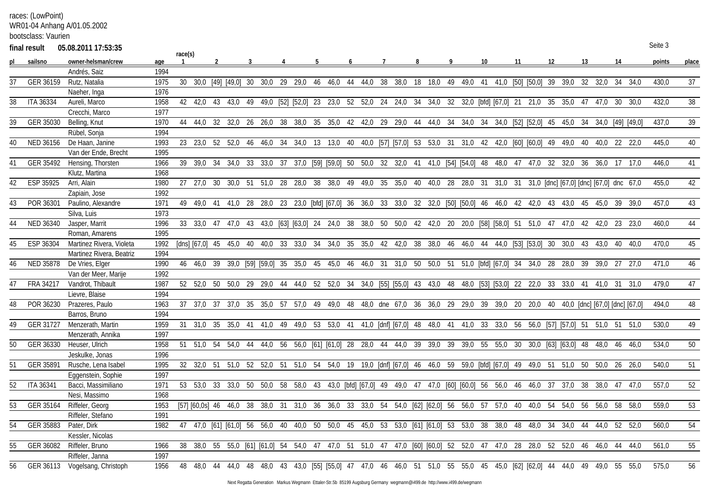races: (LowPoint)

WR01-04 Anhang A/01.05.2002

bootsclass: Vaurien

|    | final result     | 05.08.2011 17:53:35            |      |         |                                                                                                                           |  |  |                         |  |  |  |                                                                                                         |  |  |         |                 |         |         |      | Seite 3 |              |
|----|------------------|--------------------------------|------|---------|---------------------------------------------------------------------------------------------------------------------------|--|--|-------------------------|--|--|--|---------------------------------------------------------------------------------------------------------|--|--|---------|-----------------|---------|---------|------|---------|--------------|
|    | sailsno          | owner-helsman/crew             | age  | race(s) |                                                                                                                           |  |  |                         |  |  |  |                                                                                                         |  |  |         |                 |         |         |      | points  | <u>place</u> |
|    |                  | Andrés, Saiz                   | 1994 |         |                                                                                                                           |  |  |                         |  |  |  |                                                                                                         |  |  |         |                 |         |         |      |         |              |
| 37 | GER 36159        | Rutz, Natalia                  | 1975 |         | 30 30,0 [49] [49,0] 30 30,0 29 29,0 46 46,0 44 44,0 38                                                                    |  |  |                         |  |  |  | 38,0 18 18,0 49 49,0 41 41,0 [50] [50,0] 39 39,0 32 32,0                                                |  |  |         |                 |         | 34 34.0 |      | 430,0   | 37           |
|    |                  | Naeher, Inga                   | 1976 |         |                                                                                                                           |  |  |                         |  |  |  |                                                                                                         |  |  |         |                 |         |         |      |         |              |
| 38 | <b>ITA 36334</b> | Aureli, Marco                  | 1958 |         | 42 42,0 43 43,0 49 49,0 [52] [52,0] 23 23,0 52 52,0 24 24,0 34 34,0 32 32,0 [bfd] [67,0] 21 21,0 35 35,0 47 47,0          |  |  |                         |  |  |  |                                                                                                         |  |  |         |                 |         | 30      | 30.0 | 432.0   | 38           |
|    |                  | Crecchi, Marco                 | 1977 |         |                                                                                                                           |  |  |                         |  |  |  |                                                                                                         |  |  |         |                 |         |         |      |         |              |
| 39 | GER 35030        | Belling, Knut                  | 1970 |         | 44 44,0 32 32,0 26 26,0 38 38,0 35 35,0 42 42,0 29 29,0 44 44,0 34 34,0 34 34,0 [52] [52,0] 45 45,0 34 34,0 [49] [49,0]   |  |  |                         |  |  |  |                                                                                                         |  |  |         |                 |         |         |      | 437,0   | 39           |
|    |                  | Rübel, Sonja                   | 1994 |         |                                                                                                                           |  |  |                         |  |  |  |                                                                                                         |  |  |         |                 |         |         |      |         |              |
| 40 | NED 36156        | De Haan, Janine                | 1993 |         | 23 23,0 52 52,0 46 46,0 34 34,0 13 13,0 40 40,0 [57] [57,0] 53 53,0 31 31,0 42 42,0 [60] [60,0] 49 49,0 40 40,0 22 22,0   |  |  |                         |  |  |  |                                                                                                         |  |  |         |                 |         |         |      | 445.0   | 40           |
|    |                  | Van der Ende, Brecht           | 1995 |         |                                                                                                                           |  |  |                         |  |  |  |                                                                                                         |  |  |         |                 |         |         |      |         |              |
| 41 | GER 35492        | Hensing, Thorsten              | 1966 |         | 39 39,0 34 34,0 33 33,0 37 37,0 [59] [59,0] 50 50,0 32 32,0 41 41,0 [54] [54,0] 48 48,0 47 47,0 32 32,0 36 36,0 17 17,0   |  |  |                         |  |  |  |                                                                                                         |  |  |         |                 |         |         |      | 446.0   | 41           |
|    |                  | Klutz, Martina                 | 1968 |         |                                                                                                                           |  |  |                         |  |  |  |                                                                                                         |  |  |         |                 |         |         |      |         |              |
| 42 | ESP 35925        | Arri, Alain                    | 1980 |         | 27 27.0 30 30.0 51                                                                                                        |  |  |                         |  |  |  | 51,0 28 28,0 38 38,0 49 49,0 35 35,0 40 40,0 28 28,0 31 31,0 31 31,0 [dnc] [67,0] [dnc] [67,0] dnc 67,0 |  |  |         |                 |         |         |      | 455.0   | 42           |
|    |                  | Zapiain, Jose                  | 1992 |         |                                                                                                                           |  |  |                         |  |  |  |                                                                                                         |  |  |         |                 |         |         |      |         |              |
| 43 | POR 36301        | Paulino, Alexandre             | 1971 |         | 49 49,0 41 41,0 28 28,0 23 23,0 [bfd] [67,0] 36 36,0 33 33,0 32 32,0 [50] [50,0] 46 46,0 42 42,0 43 43,0 45 45,0 39       |  |  |                         |  |  |  |                                                                                                         |  |  |         |                 |         |         | 39.0 | 457,0   | 43           |
|    |                  | Silva, Luis                    | 1973 |         |                                                                                                                           |  |  |                         |  |  |  |                                                                                                         |  |  |         |                 |         |         |      |         |              |
| 44 | NED 36340        | Jasper, Marrit                 | 1996 |         | 33 33,0 47 47,0 43 43,0 [63] [63,0] 24 24,0 38 38,0 50 50,0 42 42,0 20 20,0 [58] [58,0] 51 51,0 47                        |  |  |                         |  |  |  |                                                                                                         |  |  |         | 47.0 42 42.0 23 |         |         | 23.0 | 460.0   | 44           |
|    |                  | Roman, Amarens                 | 1995 |         |                                                                                                                           |  |  |                         |  |  |  |                                                                                                         |  |  |         |                 |         |         |      |         |              |
| 45 | ESP 36304        | Martinez Rivera, Violeta       | 1992 |         | [dns] [67,0] 45 45,0 40 40,0 33 33,0 34 34,0 35 35,0 42 42,0 38 38,0 46 46,0 44 44,0 [53] [53,0] 30 30,0 43 43,0 40       |  |  |                         |  |  |  |                                                                                                         |  |  |         |                 |         |         | 40.0 | 470.0   | 45           |
|    |                  | Martinez Rivera, Beatriz       | 1994 |         |                                                                                                                           |  |  |                         |  |  |  |                                                                                                         |  |  |         |                 |         |         |      |         |              |
| 46 | <b>NED 35878</b> | De Vries, Elger                | 1990 |         | 46 46,0 39 39,0 [59] [59,0] 35 35,0 45 45,0 46 46,0 31 31,0 50 50,0 51 51,0 [bfd] [67,0] 34 34,0 28 28,0 39               |  |  |                         |  |  |  |                                                                                                         |  |  |         |                 | 39.0    | -27     | 27.0 | 471,0   | 46           |
|    |                  | Van der Meer, Marije           | 1992 |         |                                                                                                                           |  |  |                         |  |  |  |                                                                                                         |  |  |         |                 |         |         |      |         |              |
| 47 | FRA 34217        | Vandrot, Thibault              | 1987 |         | 52 52,0 50 50,0 29 29,0 44 44,0 52 52,0 34 34,0 [55] [55,0] 43 43,0 48 48,0 [53] [53,0] 22 22,0 33 33,0 41 41,0 31 31,0   |  |  |                         |  |  |  |                                                                                                         |  |  |         |                 |         |         |      | 479,0   | 47           |
|    |                  | Lievre, Blaise                 | 1994 |         |                                                                                                                           |  |  |                         |  |  |  |                                                                                                         |  |  |         |                 |         |         |      |         |              |
| 48 | POR 36230        | Prazeres, Paulo                | 1963 |         | 37 37.0 37 37.0 35                                                                                                        |  |  | 35,0 57 57,0 49 49,0 48 |  |  |  | 48,0 dne 67,0 36 36,0 29 29,0 39 39,0 20 20,0 40 40,0 [dnc] [67,0] [dnc] [67,0]                         |  |  |         |                 |         |         |      | 494,0   | 48           |
|    |                  | Barros, Bruno                  | 1994 |         |                                                                                                                           |  |  |                         |  |  |  |                                                                                                         |  |  |         |                 |         |         |      |         |              |
| 49 | GER 31727        | Menzerath, Martin              | 1959 |         | 31 31,0 35 35,0 41 41,0 49 49,0 53 53,0 41 41,0 [dnf] [67,0] 48 48,0 41 41,0 33 33,0 56 56,0 [57] [57,0] 51 51,0 51       |  |  |                         |  |  |  |                                                                                                         |  |  |         |                 |         |         | 51.0 | 530.0   | 49           |
|    |                  | Menzerath, Annika              | 1997 |         |                                                                                                                           |  |  |                         |  |  |  |                                                                                                         |  |  |         |                 |         |         |      |         |              |
| 50 | GER 36330        | Heuser, Ulrich                 | 1958 |         | 51 51,0 54 54,0 44 44,0 56 56,0 [61] [61,0] 28 28,0 44 44,0 39 39,0 39 39,0 55 55,0 30 30,0 [63] [63,0] 48 48,0 46 46,0   |  |  |                         |  |  |  |                                                                                                         |  |  |         |                 |         |         |      | 534,0   | 50           |
|    |                  | Jeskulke, Jonas                | 1996 |         |                                                                                                                           |  |  |                         |  |  |  |                                                                                                         |  |  |         |                 |         |         |      |         |              |
| 51 | GER 35891        | Rusche, Lena Isabel            | 1995 |         | 32 32,0 51 51,0 52 52,0 51 51,0 54 54,0 19 19,0 [dnf] [67,0] 46 46,0 59 59,0 [bfd] [67,0] 49 49,0 51 51,0 50 50,0 26 26,0 |  |  |                         |  |  |  |                                                                                                         |  |  |         |                 |         |         |      | 540.0   | 51           |
|    |                  | Eggenstein, Sophie             | 1997 |         |                                                                                                                           |  |  |                         |  |  |  |                                                                                                         |  |  |         |                 |         |         |      |         |              |
| 52 | <b>ITA 36341</b> | Bacci, Massimiliano            | 1971 |         | 53 53,0 33 33,0 50 50,0 58 58,0 43 43,0 [bfd] [67,0] 49 49,0 47 47,0 [60] [60,0] 56 56,0 46 46,0 37 37,0 38 38,0          |  |  |                         |  |  |  |                                                                                                         |  |  |         |                 |         | 47      | 47.0 | 557.0   | 52           |
|    |                  | Nesi, Massimo                  | 1968 |         |                                                                                                                           |  |  |                         |  |  |  |                                                                                                         |  |  |         |                 |         |         |      |         |              |
| 53 | GER 35164        | Riffeler, Georg                | 1953 |         | [57] [60,0s] 46 46,0 38 38,0 31 31,0 36 36,0 33 33,0 54 54,0 [62] [62,0] 56 56,0 57 57,0 40 40,0 54 54,0 56 56,0 58       |  |  |                         |  |  |  |                                                                                                         |  |  |         |                 |         |         | 58.0 | 559.0   | 53           |
|    |                  | Riffeler, Stefano              | 1991 |         |                                                                                                                           |  |  |                         |  |  |  |                                                                                                         |  |  |         |                 |         |         |      |         |              |
| 54 | GER 35883        | Pater, Dirk                    | 1982 |         | 47 47,0 [61] [61,0] 56 56,0 40 40,0 50 50,0 45 45,0 53 53,0 [61] [61,0] 53 53,0 38 38,0 48                                |  |  |                         |  |  |  |                                                                                                         |  |  | 48,0 34 | 34,0 44         | 44.0 52 |         | 52.0 | 560.0   | 54           |
|    |                  | Kessler, Nicolas               |      |         |                                                                                                                           |  |  |                         |  |  |  |                                                                                                         |  |  |         |                 |         |         |      |         |              |
| 55 | GER 36082        | Riffeler, Bruno                | 1966 |         | 38 38,0 55 55,0 [61] [61,0] 54 54,0 47 47,0 51 51,0 47                                                                    |  |  |                         |  |  |  | 47,0 [60] [60,0] 52 52,0 47 47,0 28                                                                     |  |  | 28,0 52 | 52.0 46         | 46.0    | 44      | 44.0 | 561.0   | 55           |
|    |                  | Riffeler, Janna                | 1997 |         |                                                                                                                           |  |  |                         |  |  |  |                                                                                                         |  |  |         |                 |         |         |      |         |              |
| 56 |                  | GER 36113 Vogelsang, Christoph | 1956 |         | 48 48,0 44 44,0 48 48,0 43 43,0 [55] [55,0] 47 47,0 46 46,0 51 51,0 55 55,0 45 45,0 [62] [62,0] 44 44,0 49 49,0 55        |  |  |                         |  |  |  |                                                                                                         |  |  |         |                 |         |         | 55.0 | 575,0   | 56           |